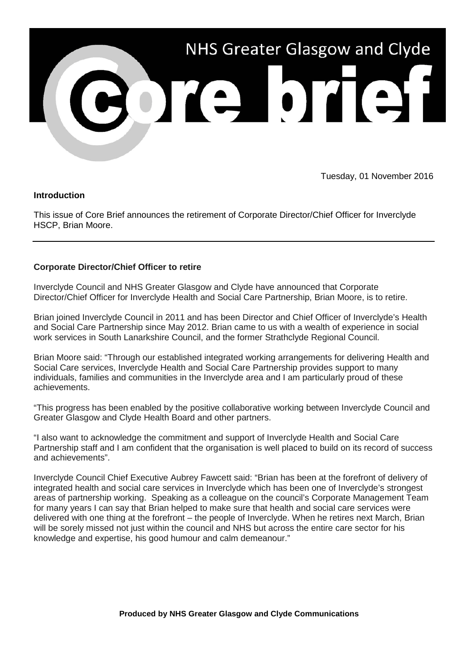

Tuesday, 01 November 2016

## **Introduction**

This issue of Core Brief announces the retirement of Corporate Director/Chief Officer for Inverclyde HSCP, Brian Moore.

## **Corporate Director/Chief Officer to retire**

Inverclyde Council and NHS Greater Glasgow and Clyde have announced that Corporate Director/Chief Officer for Inverclyde Health and Social Care Partnership, Brian Moore, is to retire.

Brian joined Inverclyde Council in 2011 and has been Director and Chief Officer of Inverclyde's Health and Social Care Partnership since May 2012. Brian came to us with a wealth of experience in social work services in South Lanarkshire Council, and the former Strathclyde Regional Council.

Brian Moore said: "Through our established integrated working arrangements for delivering Health and Social Care services, Inverclyde Health and Social Care Partnership provides support to many individuals, families and communities in the Inverclyde area and I am particularly proud of these achievements.

"This progress has been enabled by the positive collaborative working between Inverclyde Council and Greater Glasgow and Clyde Health Board and other partners.

"I also want to acknowledge the commitment and support of Inverclyde Health and Social Care Partnership staff and I am confident that the organisation is well placed to build on its record of success and achievements".

Inverclyde Council Chief Executive Aubrey Fawcett said: "Brian has been at the forefront of delivery of integrated health and social care services in Inverclyde which has been one of Inverclyde's strongest areas of partnership working. Speaking as a colleague on the council's Corporate Management Team for many years I can say that Brian helped to make sure that health and social care services were delivered with one thing at the forefront – the people of Inverclyde. When he retires next March, Brian will be sorely missed not just within the council and NHS but across the entire care sector for his knowledge and expertise, his good humour and calm demeanour."